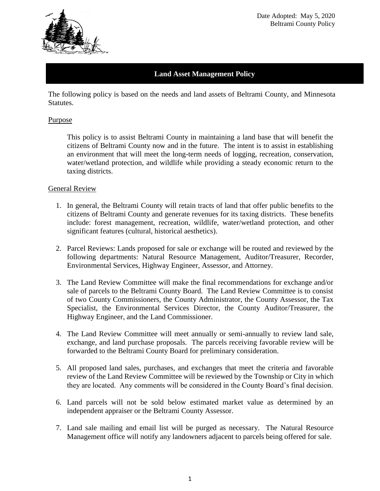

### **Land Asset Management Policy**

The following policy is based on the needs and land assets of Beltrami County, and Minnesota Statutes.

#### Purpose

This policy is to assist Beltrami County in maintaining a land base that will benefit the citizens of Beltrami County now and in the future. The intent is to assist in establishing an environment that will meet the long-term needs of logging, recreation, conservation, water/wetland protection, and wildlife while providing a steady economic return to the taxing districts.

#### General Review

- 1. In general, the Beltrami County will retain tracts of land that offer public benefits to the citizens of Beltrami County and generate revenues for its taxing districts. These benefits include: forest management, recreation, wildlife, water/wetland protection, and other significant features (cultural, historical aesthetics).
- 2. Parcel Reviews: Lands proposed for sale or exchange will be routed and reviewed by the following departments: Natural Resource Management, Auditor/Treasurer, Recorder, Environmental Services, Highway Engineer, Assessor, and Attorney.
- 3. The Land Review Committee will make the final recommendations for exchange and/or sale of parcels to the Beltrami County Board. The Land Review Committee is to consist of two County Commissioners, the County Administrator, the County Assessor, the Tax Specialist, the Environmental Services Director, the County Auditor/Treasurer, the Highway Engineer, and the Land Commissioner.
- 4. The Land Review Committee will meet annually or semi-annually to review land sale, exchange, and land purchase proposals. The parcels receiving favorable review will be forwarded to the Beltrami County Board for preliminary consideration.
- 5. All proposed land sales, purchases, and exchanges that meet the criteria and favorable review of the Land Review Committee will be reviewed by the Township or City in which they are located. Any comments will be considered in the County Board's final decision.
- 6. Land parcels will not be sold below estimated market value as determined by an independent appraiser or the Beltrami County Assessor.
- 7. Land sale mailing and email list will be purged as necessary. The Natural Resource Management office will notify any landowners adjacent to parcels being offered for sale.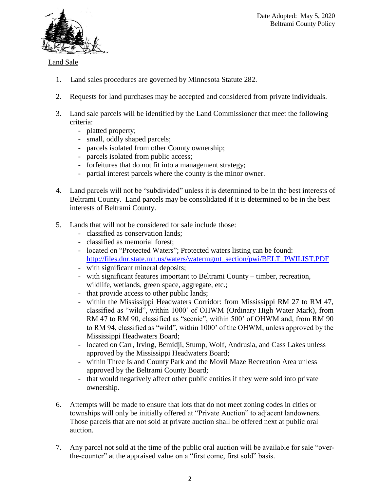

## Land Sale

- 1. Land sales procedures are governed by Minnesota Statute 282.
- 2. Requests for land purchases may be accepted and considered from private individuals.
- 3. Land sale parcels will be identified by the Land Commissioner that meet the following criteria:
	- platted property;
	- small, oddly shaped parcels;
	- parcels isolated from other County ownership;
	- parcels isolated from public access;
	- forfeitures that do not fit into a management strategy;
	- partial interest parcels where the county is the minor owner.
- 4. Land parcels will not be "subdivided" unless it is determined to be in the best interests of Beltrami County. Land parcels may be consolidated if it is determined to be in the best interests of Beltrami County.
- 5. Lands that will not be considered for sale include those:
	- classified as conservation lands;
	- classified as memorial forest;
	- located on "Protected Waters"; Protected waters listing can be found[:](http://files.dnr.state.mn.us/waters/watermgmt_section/pwi/BELT_PWILIST.PDF) [http://files.dnr.state.mn.us/waters/watermgmt\\_section/pwi/BELT\\_PWILIST.PDF](http://files.dnr.state.mn.us/waters/watermgmt_section/pwi/BELT_PWILIST.PDF)
	- with significant mineral deposits;
	- with significant features important to Beltrami County timber, recreation, wildlife, wetlands, green space, aggregate, etc.;
	- that provide access to other public lands;
	- within the Mississippi Headwaters Corridor: from Mississippi RM 27 to RM 47, classified as "wild", within 1000' of OHWM (Ordinary High Water Mark), from RM 47 to RM 90, classified as "scenic", within 500' of OHWM and, from RM 90 to RM 94, classified as "wild", within 1000' of the OHWM, unless approved by the Mississippi Headwaters Board;
	- located on Carr, Irving, Bemidji, Stump, Wolf, Andrusia, and Cass Lakes unless approved by the Mississippi Headwaters Board;
	- within Three Island County Park and the Movil Maze Recreation Area unless approved by the Beltrami County Board;
	- that would negatively affect other public entities if they were sold into private ownership.
- 6. Attempts will be made to ensure that lots that do not meet zoning codes in cities or townships will only be initially offered at "Private Auction" to adjacent landowners. Those parcels that are not sold at private auction shall be offered next at public oral auction.
- 7. Any parcel not sold at the time of the public oral auction will be available for sale "overthe-counter" at the appraised value on a "first come, first sold" basis.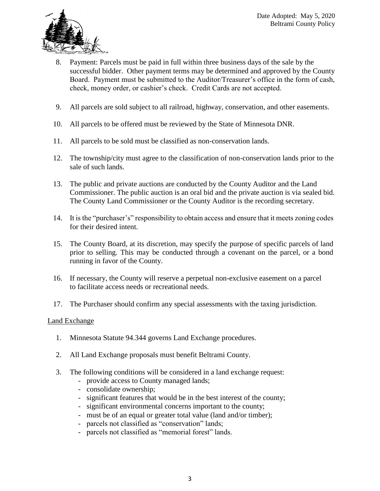

- 8. Payment: Parcels must be paid in full within three business days of the sale by the successful bidder. Other payment terms may be determined and approved by the County Board. Payment must be submitted to the Auditor/Treasurer's office in the form of cash, check, money order, or cashier's check. Credit Cards are not accepted.
- 9. All parcels are sold subject to all railroad, highway, conservation, and other easements.
- 10. All parcels to be offered must be reviewed by the State of Minnesota DNR.
- 11. All parcels to be sold must be classified as non-conservation lands.
- 12. The township/city must agree to the classification of non-conservation lands prior to the sale of such lands.
- 13. The public and private auctions are conducted by the County Auditor and the Land Commissioner. The public auction is an oral bid and the private auction is via sealed bid. The County Land Commissioner or the County Auditor is the recording secretary.
- 14. It is the "purchaser's" responsibility to obtain access and ensure that it meets zoning codes for their desired intent.
- 15. The County Board, at its discretion, may specify the purpose of specific parcels of land prior to selling. This may be conducted through a covenant on the parcel, or a bond running in favor of the County.
- 16. If necessary, the County will reserve a perpetual non-exclusive easement on a parcel to facilitate access needs or recreational needs.
- 17. The Purchaser should confirm any special assessments with the taxing jurisdiction.

### Land Exchange

- 1. Minnesota Statute 94.344 governs Land Exchange procedures.
- 2. All Land Exchange proposals must benefit Beltrami County.
- 3. The following conditions will be considered in a land exchange request:
	- provide access to County managed lands;
	- consolidate ownership;
	- significant features that would be in the best interest of the county;
	- significant environmental concerns important to the county;
	- must be of an equal or greater total value (land and/or timber);
	- parcels not classified as "conservation" lands;
	- parcels not classified as "memorial forest" lands.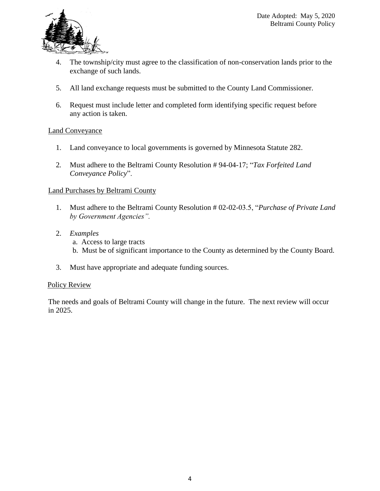

- 4. The township/city must agree to the classification of non-conservation lands prior to the exchange of such lands.
- 5. All land exchange requests must be submitted to the County Land Commissioner.
- 6. Request must include letter and completed form identifying specific request before any action is taken.

### Land Conveyance

- 1. Land conveyance to local governments is governed by Minnesota Statute 282.
- 2*.* Must adhere to the Beltrami County Resolution # 94-04-17; "*Tax Forfeited Land Conveyance Policy*".

### Land Purchases by Beltrami County

- 1. Must adhere to the Beltrami County Resolution # 02-02-03.5, "*Purchase of Private Land by Government Agencies".*
- 2. *Examples*
	- a. Access to large tracts
	- b. Must be of significant importance to the County as determined by the County Board.
- 3. Must have appropriate and adequate funding sources.

#### Policy Review

The needs and goals of Beltrami County will change in the future. The next review will occur in 2025.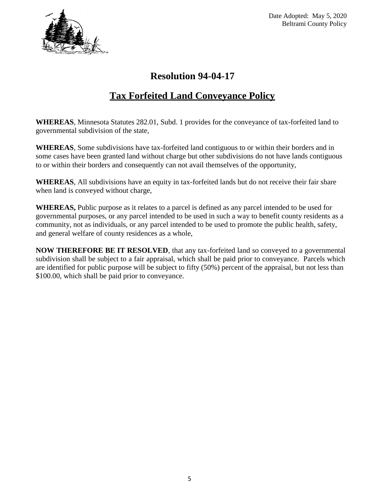

Date Adopted: May 5, 2020 Beltrami County Policy

## **Resolution 94-04-17**

# **Tax Forfeited Land Conveyance Policy**

**WHEREAS**, Minnesota Statutes 282.01, Subd. 1 provides for the conveyance of tax-forfeited land to governmental subdivision of the state,

**WHEREAS**, Some subdivisions have tax-forfeited land contiguous to or within their borders and in some cases have been granted land without charge but other subdivisions do not have lands contiguous to or within their borders and consequently can not avail themselves of the opportunity,

**WHEREAS**, All subdivisions have an equity in tax-forfeited lands but do not receive their fair share when land is conveyed without charge,

**WHEREAS,** Public purpose as it relates to a parcel is defined as any parcel intended to be used for governmental purposes, or any parcel intended to be used in such a way to benefit county residents as a community, not as individuals, or any parcel intended to be used to promote the public health, safety, and general welfare of county residences as a whole,

**NOW THEREFORE BE IT RESOLVED**, that any tax-forfeited land so conveyed to a governmental subdivision shall be subject to a fair appraisal, which shall be paid prior to conveyance. Parcels which are identified for public purpose will be subject to fifty (50%) percent of the appraisal, but not less than \$100.00, which shall be paid prior to conveyance.